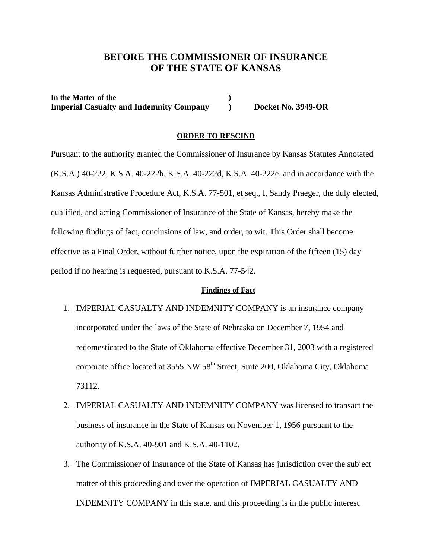## **BEFORE THE COMMISSIONER OF INSURANCE OF THE STATE OF KANSAS**

In the Matter of the **1996** (1996) **Imperial Casualty and Indemnity Company Docket No. 3949-OR** 

#### **ORDER TO RESCIND**

Pursuant to the authority granted the Commissioner of Insurance by Kansas Statutes Annotated (K.S.A.) 40-222, K.S.A. 40-222b, K.S.A. 40-222d, K.S.A. 40-222e, and in accordance with the Kansas Administrative Procedure Act, K.S.A. 77-501, et seq., I, Sandy Praeger, the duly elected, qualified, and acting Commissioner of Insurance of the State of Kansas, hereby make the following findings of fact, conclusions of law, and order, to wit. This Order shall become effective as a Final Order, without further notice, upon the expiration of the fifteen (15) day period if no hearing is requested, pursuant to K.S.A. 77-542.

#### **Findings of Fact**

- 1. IMPERIAL CASUALTY AND INDEMNITY COMPANY is an insurance company incorporated under the laws of the State of Nebraska on December 7, 1954 and redomesticated to the State of Oklahoma effective December 31, 2003 with a registered corporate office located at 3555 NW 58<sup>th</sup> Street, Suite 200, Oklahoma City, Oklahoma 73112.
- 2. IMPERIAL CASUALTY AND INDEMNITY COMPANY was licensed to transact the business of insurance in the State of Kansas on November 1, 1956 pursuant to the authority of K.S.A. 40-901 and K.S.A. 40-1102.
- 3. The Commissioner of Insurance of the State of Kansas has jurisdiction over the subject matter of this proceeding and over the operation of IMPERIAL CASUALTY AND INDEMNITY COMPANY in this state, and this proceeding is in the public interest.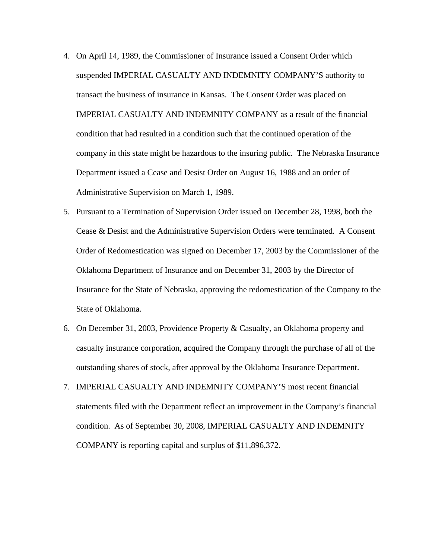- 4. On April 14, 1989, the Commissioner of Insurance issued a Consent Order which suspended IMPERIAL CASUALTY AND INDEMNITY COMPANY'S authority to transact the business of insurance in Kansas. The Consent Order was placed on IMPERIAL CASUALTY AND INDEMNITY COMPANY as a result of the financial condition that had resulted in a condition such that the continued operation of the company in this state might be hazardous to the insuring public. The Nebraska Insurance Department issued a Cease and Desist Order on August 16, 1988 and an order of Administrative Supervision on March 1, 1989.
- 5. Pursuant to a Termination of Supervision Order issued on December 28, 1998, both the Cease & Desist and the Administrative Supervision Orders were terminated. A Consent Order of Redomestication was signed on December 17, 2003 by the Commissioner of the Oklahoma Department of Insurance and on December 31, 2003 by the Director of Insurance for the State of Nebraska, approving the redomestication of the Company to the State of Oklahoma.
- 6. On December 31, 2003, Providence Property & Casualty, an Oklahoma property and casualty insurance corporation, acquired the Company through the purchase of all of the outstanding shares of stock, after approval by the Oklahoma Insurance Department.
- 7. IMPERIAL CASUALTY AND INDEMNITY COMPANY'S most recent financial statements filed with the Department reflect an improvement in the Company's financial condition. As of September 30, 2008, IMPERIAL CASUALTY AND INDEMNITY COMPANY is reporting capital and surplus of \$11,896,372.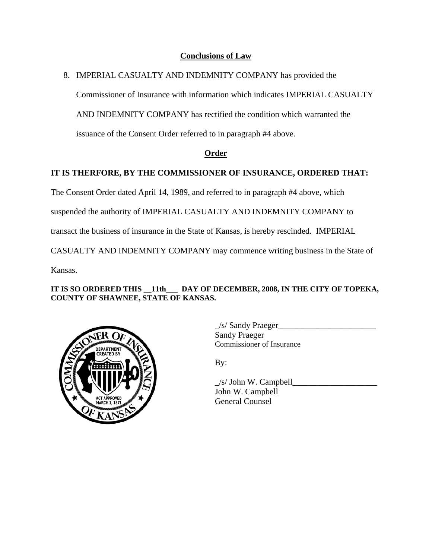#### **Conclusions of Law**

### 8. IMPERIAL CASUALTY AND INDEMNITY COMPANY has provided the

Commissioner of Insurance with information which indicates IMPERIAL CASUALTY

AND INDEMNITY COMPANY has rectified the condition which warranted the

issuance of the Consent Order referred to in paragraph #4 above.

### **Order**

# **IT IS THERFORE, BY THE COMMISSIONER OF INSURANCE, ORDERED THAT:**

The Consent Order dated April 14, 1989, and referred to in paragraph #4 above, which

suspended the authority of IMPERIAL CASUALTY AND INDEMNITY COMPANY to

transact the business of insurance in the State of Kansas, is hereby rescinded. IMPERIAL

CASUALTY AND INDEMNITY COMPANY may commence writing business in the State of

Kansas.

#### **IT IS SO ORDERED THIS \_\_11th\_\_\_ DAY OF DECEMBER, 2008, IN THE CITY OF TOPEKA, COUNTY OF SHAWNEE, STATE OF KANSAS.**



 $\angle$ s/ Sandy Praeger $\angle$  Sandy Praeger Commissioner of Insurance

 $\angle$ s/ John W. Campbell $\angle$  John W. Campbell General Counsel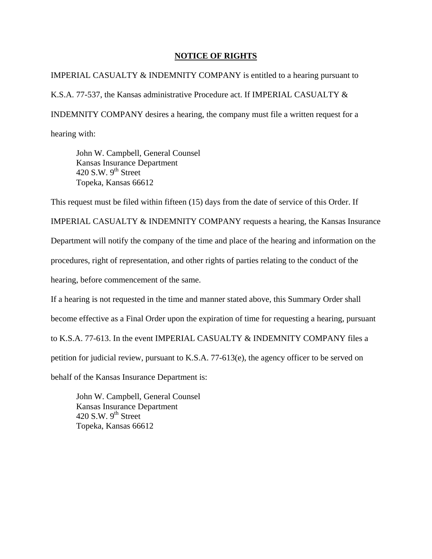#### **NOTICE OF RIGHTS**

IMPERIAL CASUALTY & INDEMNITY COMPANY is entitled to a hearing pursuant to K.S.A. 77-537, the Kansas administrative Procedure act. If IMPERIAL CASUALTY & INDEMNITY COMPANY desires a hearing, the company must file a written request for a hearing with:

 John W. Campbell, General Counsel Kansas Insurance Department 420 S.W.  $9<sup>th</sup>$  Street Topeka, Kansas 66612

This request must be filed within fifteen (15) days from the date of service of this Order. If

IMPERIAL CASUALTY & INDEMNITY COMPANY requests a hearing, the Kansas Insurance Department will notify the company of the time and place of the hearing and information on the procedures, right of representation, and other rights of parties relating to the conduct of the hearing, before commencement of the same.

If a hearing is not requested in the time and manner stated above, this Summary Order shall become effective as a Final Order upon the expiration of time for requesting a hearing, pursuant to K.S.A. 77-613. In the event IMPERIAL CASUALTY & INDEMNITY COMPANY files a petition for judicial review, pursuant to K.S.A. 77-613(e), the agency officer to be served on behalf of the Kansas Insurance Department is:

 John W. Campbell, General Counsel Kansas Insurance Department 420 S.W.  $9^{th}$  Street Topeka, Kansas 66612